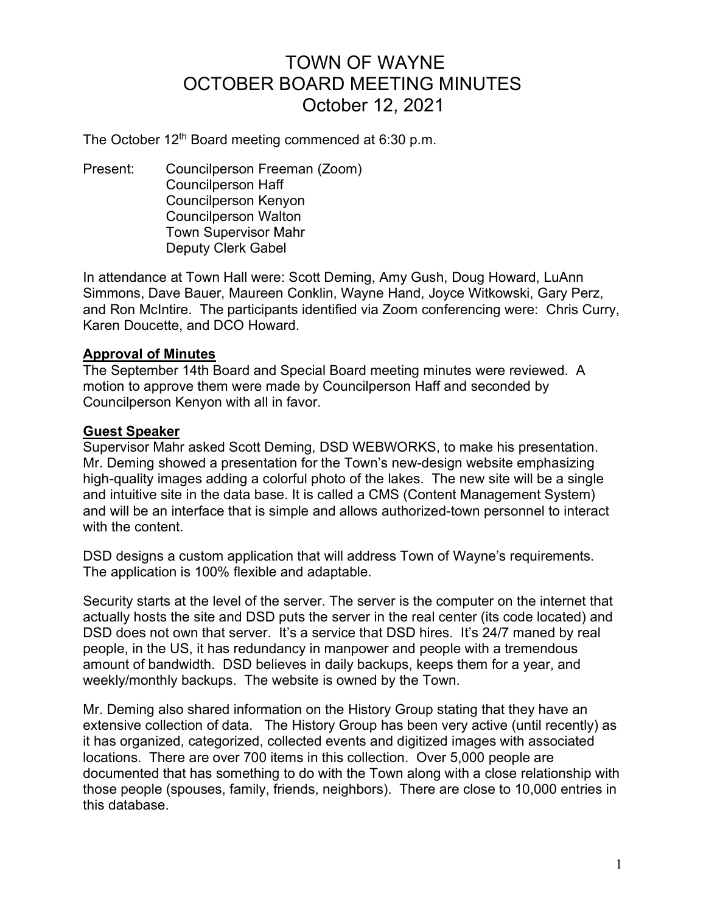# TOWN OF WAYNE OCTOBER BOARD MEETING MINUTES October 12, 2021

The October  $12<sup>th</sup>$  Board meeting commenced at 6:30 p.m.

Present: Councilperson Freeman (Zoom) Councilperson Haff Councilperson Kenyon Councilperson Walton Town Supervisor Mahr Deputy Clerk Gabel

In attendance at Town Hall were: Scott Deming, Amy Gush, Doug Howard, LuAnn Simmons, Dave Bauer, Maureen Conklin, Wayne Hand, Joyce Witkowski, Gary Perz, and Ron McIntire. The participants identified via Zoom conferencing were: Chris Curry, Karen Doucette, and DCO Howard.

# Approval of Minutes

The September 14th Board and Special Board meeting minutes were reviewed. A motion to approve them were made by Councilperson Haff and seconded by Councilperson Kenyon with all in favor.

#### Guest Speaker

Supervisor Mahr asked Scott Deming, DSD WEBWORKS, to make his presentation. Mr. Deming showed a presentation for the Town's new-design website emphasizing high-quality images adding a colorful photo of the lakes. The new site will be a single and intuitive site in the data base. It is called a CMS (Content Management System) and will be an interface that is simple and allows authorized-town personnel to interact with the content.

DSD designs a custom application that will address Town of Wayne's requirements. The application is 100% flexible and adaptable.

Security starts at the level of the server. The server is the computer on the internet that actually hosts the site and DSD puts the server in the real center (its code located) and DSD does not own that server. It's a service that DSD hires. It's 24/7 maned by real people, in the US, it has redundancy in manpower and people with a tremendous amount of bandwidth. DSD believes in daily backups, keeps them for a year, and weekly/monthly backups. The website is owned by the Town.

Mr. Deming also shared information on the History Group stating that they have an extensive collection of data. The History Group has been very active (until recently) as it has organized, categorized, collected events and digitized images with associated locations. There are over 700 items in this collection. Over 5,000 people are documented that has something to do with the Town along with a close relationship with those people (spouses, family, friends, neighbors). There are close to 10,000 entries in this database.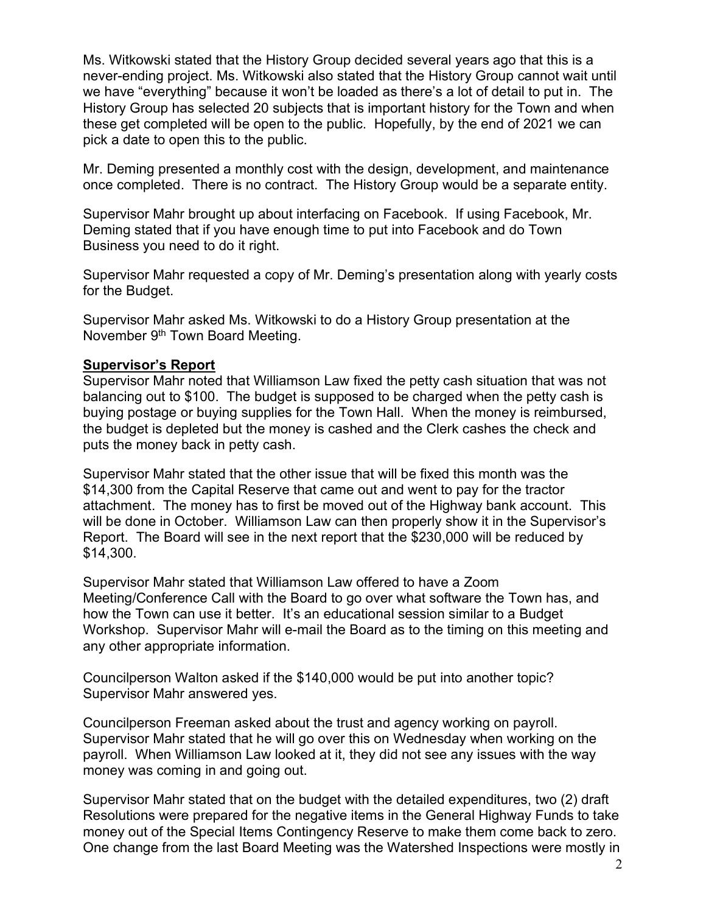Ms. Witkowski stated that the History Group decided several years ago that this is a never-ending project. Ms. Witkowski also stated that the History Group cannot wait until we have "everything" because it won't be loaded as there's a lot of detail to put in. The History Group has selected 20 subjects that is important history for the Town and when these get completed will be open to the public. Hopefully, by the end of 2021 we can pick a date to open this to the public.

Mr. Deming presented a monthly cost with the design, development, and maintenance once completed. There is no contract. The History Group would be a separate entity.

Supervisor Mahr brought up about interfacing on Facebook. If using Facebook, Mr. Deming stated that if you have enough time to put into Facebook and do Town Business you need to do it right.

Supervisor Mahr requested a copy of Mr. Deming's presentation along with yearly costs for the Budget.

Supervisor Mahr asked Ms. Witkowski to do a History Group presentation at the November 9<sup>th</sup> Town Board Meeting.

#### Supervisor's Report

Supervisor Mahr noted that Williamson Law fixed the petty cash situation that was not balancing out to \$100. The budget is supposed to be charged when the petty cash is buying postage or buying supplies for the Town Hall. When the money is reimbursed, the budget is depleted but the money is cashed and the Clerk cashes the check and puts the money back in petty cash.

Supervisor Mahr stated that the other issue that will be fixed this month was the \$14,300 from the Capital Reserve that came out and went to pay for the tractor attachment. The money has to first be moved out of the Highway bank account. This will be done in October. Williamson Law can then properly show it in the Supervisor's Report. The Board will see in the next report that the \$230,000 will be reduced by \$14,300.

Supervisor Mahr stated that Williamson Law offered to have a Zoom Meeting/Conference Call with the Board to go over what software the Town has, and how the Town can use it better. It's an educational session similar to a Budget Workshop. Supervisor Mahr will e-mail the Board as to the timing on this meeting and any other appropriate information.

Councilperson Walton asked if the \$140,000 would be put into another topic? Supervisor Mahr answered yes.

Councilperson Freeman asked about the trust and agency working on payroll. Supervisor Mahr stated that he will go over this on Wednesday when working on the payroll. When Williamson Law looked at it, they did not see any issues with the way money was coming in and going out.

Supervisor Mahr stated that on the budget with the detailed expenditures, two (2) draft Resolutions were prepared for the negative items in the General Highway Funds to take money out of the Special Items Contingency Reserve to make them come back to zero. One change from the last Board Meeting was the Watershed Inspections were mostly in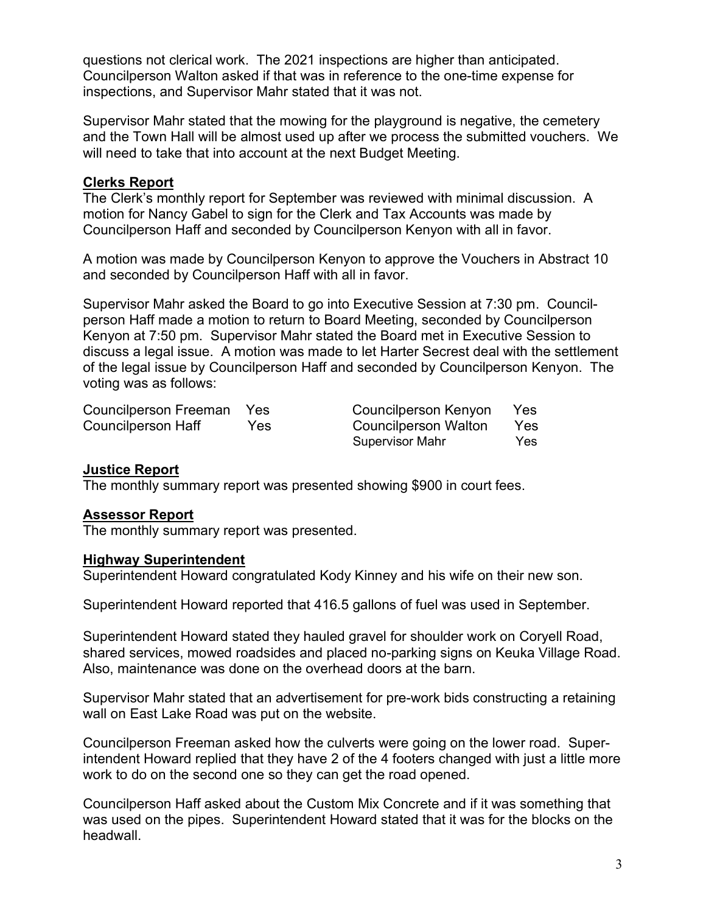questions not clerical work. The 2021 inspections are higher than anticipated. Councilperson Walton asked if that was in reference to the one-time expense for inspections, and Supervisor Mahr stated that it was not.

Supervisor Mahr stated that the mowing for the playground is negative, the cemetery and the Town Hall will be almost used up after we process the submitted vouchers. We will need to take that into account at the next Budget Meeting.

### Clerks Report

The Clerk's monthly report for September was reviewed with minimal discussion. A motion for Nancy Gabel to sign for the Clerk and Tax Accounts was made by Councilperson Haff and seconded by Councilperson Kenyon with all in favor.

A motion was made by Councilperson Kenyon to approve the Vouchers in Abstract 10 and seconded by Councilperson Haff with all in favor.

Supervisor Mahr asked the Board to go into Executive Session at 7:30 pm. Councilperson Haff made a motion to return to Board Meeting, seconded by Councilperson Kenyon at 7:50 pm. Supervisor Mahr stated the Board met in Executive Session to discuss a legal issue. A motion was made to let Harter Secrest deal with the settlement of the legal issue by Councilperson Haff and seconded by Councilperson Kenyon. The voting was as follows:

| Councilperson Freeman Yes |     | Councilperson Kenyon   | Yes  |
|---------------------------|-----|------------------------|------|
| Councilperson Haff        | Yes | Councilperson Walton   | Yes  |
|                           |     | <b>Supervisor Mahr</b> | Yes. |

# Justice Report

The monthly summary report was presented showing \$900 in court fees.

# Assessor Report

The monthly summary report was presented.

#### Highway Superintendent

Superintendent Howard congratulated Kody Kinney and his wife on their new son.

Superintendent Howard reported that 416.5 gallons of fuel was used in September.

Superintendent Howard stated they hauled gravel for shoulder work on Coryell Road, shared services, mowed roadsides and placed no-parking signs on Keuka Village Road. Also, maintenance was done on the overhead doors at the barn.

Supervisor Mahr stated that an advertisement for pre-work bids constructing a retaining wall on East Lake Road was put on the website.

Councilperson Freeman asked how the culverts were going on the lower road. Superintendent Howard replied that they have 2 of the 4 footers changed with just a little more work to do on the second one so they can get the road opened.

Councilperson Haff asked about the Custom Mix Concrete and if it was something that was used on the pipes. Superintendent Howard stated that it was for the blocks on the headwall.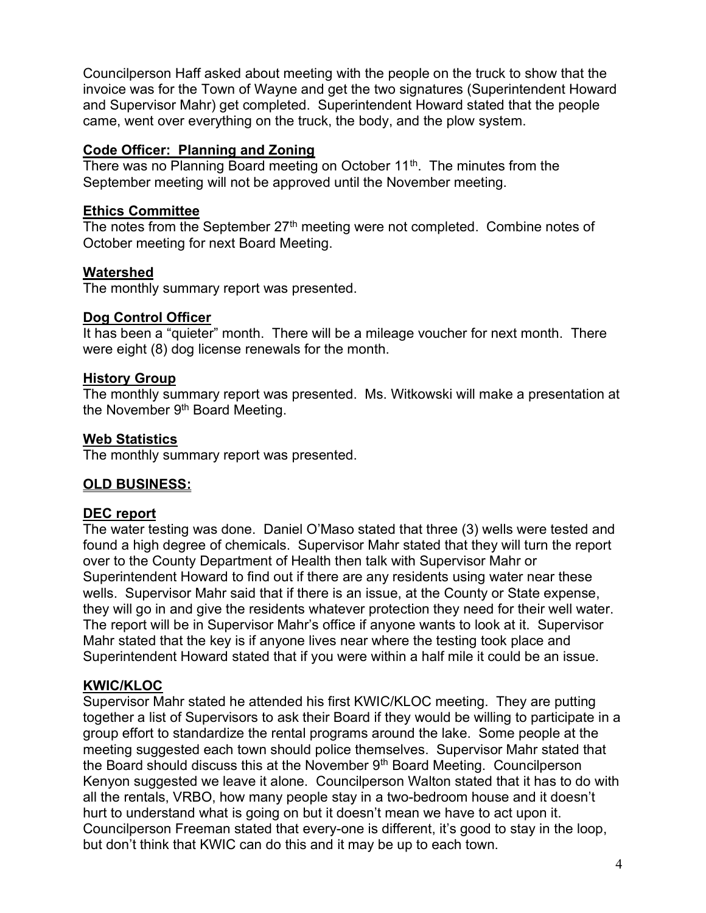Councilperson Haff asked about meeting with the people on the truck to show that the invoice was for the Town of Wayne and get the two signatures (Superintendent Howard and Supervisor Mahr) get completed. Superintendent Howard stated that the people came, went over everything on the truck, the body, and the plow system.

# Code Officer: Planning and Zoning

There was no Planning Board meeting on October 11<sup>th</sup>. The minutes from the September meeting will not be approved until the November meeting.

# Ethics Committee

The notes from the September  $27<sup>th</sup>$  meeting were not completed. Combine notes of October meeting for next Board Meeting.

#### **Watershed**

The monthly summary report was presented.

#### Dog Control Officer

It has been a "quieter" month. There will be a mileage voucher for next month. There were eight (8) dog license renewals for the month.

#### History Group

The monthly summary report was presented. Ms. Witkowski will make a presentation at the November 9<sup>th</sup> Board Meeting.

#### Web Statistics

The monthly summary report was presented.

# OLD BUSINESS:

# DEC report

The water testing was done. Daniel O'Maso stated that three (3) wells were tested and found a high degree of chemicals. Supervisor Mahr stated that they will turn the report over to the County Department of Health then talk with Supervisor Mahr or Superintendent Howard to find out if there are any residents using water near these wells. Supervisor Mahr said that if there is an issue, at the County or State expense, they will go in and give the residents whatever protection they need for their well water. The report will be in Supervisor Mahr's office if anyone wants to look at it. Supervisor Mahr stated that the key is if anyone lives near where the testing took place and Superintendent Howard stated that if you were within a half mile it could be an issue.

# KWIC/KLOC

Supervisor Mahr stated he attended his first KWIC/KLOC meeting. They are putting together a list of Supervisors to ask their Board if they would be willing to participate in a group effort to standardize the rental programs around the lake. Some people at the meeting suggested each town should police themselves. Supervisor Mahr stated that the Board should discuss this at the November 9<sup>th</sup> Board Meeting. Councilperson Kenyon suggested we leave it alone. Councilperson Walton stated that it has to do with all the rentals, VRBO, how many people stay in a two-bedroom house and it doesn't hurt to understand what is going on but it doesn't mean we have to act upon it. Councilperson Freeman stated that every-one is different, it's good to stay in the loop, but don't think that KWIC can do this and it may be up to each town.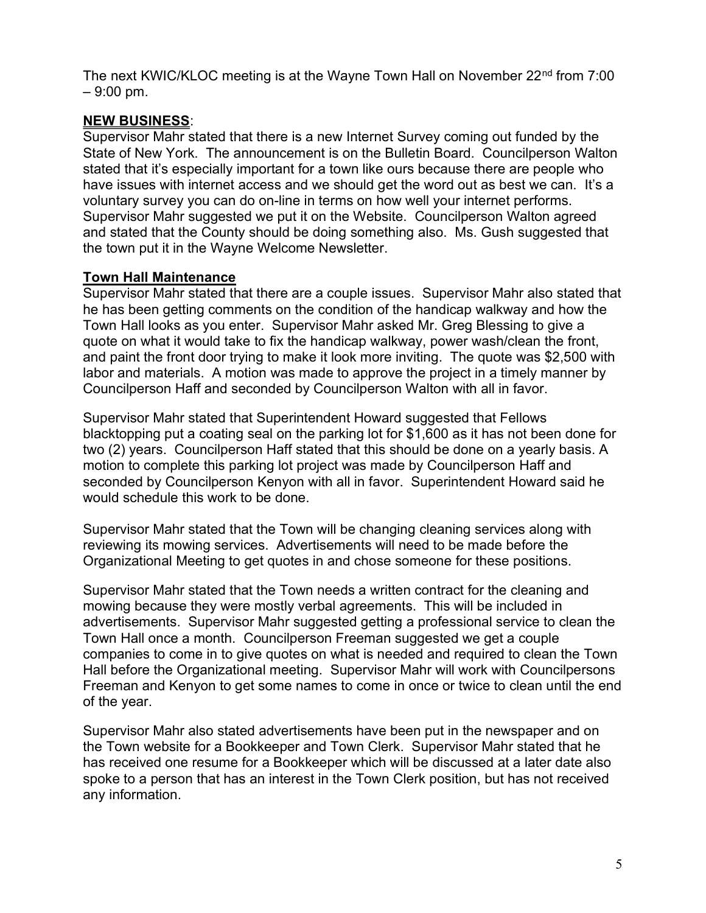The next KWIC/KLOC meeting is at the Wayne Town Hall on November 22<sup>nd</sup> from 7:00 – 9:00 pm.

# NEW BUSINESS:

Supervisor Mahr stated that there is a new Internet Survey coming out funded by the State of New York. The announcement is on the Bulletin Board. Councilperson Walton stated that it's especially important for a town like ours because there are people who have issues with internet access and we should get the word out as best we can. It's a voluntary survey you can do on-line in terms on how well your internet performs. Supervisor Mahr suggested we put it on the Website. Councilperson Walton agreed and stated that the County should be doing something also. Ms. Gush suggested that the town put it in the Wayne Welcome Newsletter.

# Town Hall Maintenance

Supervisor Mahr stated that there are a couple issues. Supervisor Mahr also stated that he has been getting comments on the condition of the handicap walkway and how the Town Hall looks as you enter. Supervisor Mahr asked Mr. Greg Blessing to give a quote on what it would take to fix the handicap walkway, power wash/clean the front, and paint the front door trying to make it look more inviting. The quote was \$2,500 with labor and materials. A motion was made to approve the project in a timely manner by Councilperson Haff and seconded by Councilperson Walton with all in favor.

Supervisor Mahr stated that Superintendent Howard suggested that Fellows blacktopping put a coating seal on the parking lot for \$1,600 as it has not been done for two (2) years. Councilperson Haff stated that this should be done on a yearly basis. A motion to complete this parking lot project was made by Councilperson Haff and seconded by Councilperson Kenyon with all in favor. Superintendent Howard said he would schedule this work to be done.

Supervisor Mahr stated that the Town will be changing cleaning services along with reviewing its mowing services. Advertisements will need to be made before the Organizational Meeting to get quotes in and chose someone for these positions.

Supervisor Mahr stated that the Town needs a written contract for the cleaning and mowing because they were mostly verbal agreements. This will be included in advertisements. Supervisor Mahr suggested getting a professional service to clean the Town Hall once a month. Councilperson Freeman suggested we get a couple companies to come in to give quotes on what is needed and required to clean the Town Hall before the Organizational meeting. Supervisor Mahr will work with Councilpersons Freeman and Kenyon to get some names to come in once or twice to clean until the end of the year.

Supervisor Mahr also stated advertisements have been put in the newspaper and on the Town website for a Bookkeeper and Town Clerk. Supervisor Mahr stated that he has received one resume for a Bookkeeper which will be discussed at a later date also spoke to a person that has an interest in the Town Clerk position, but has not received any information.